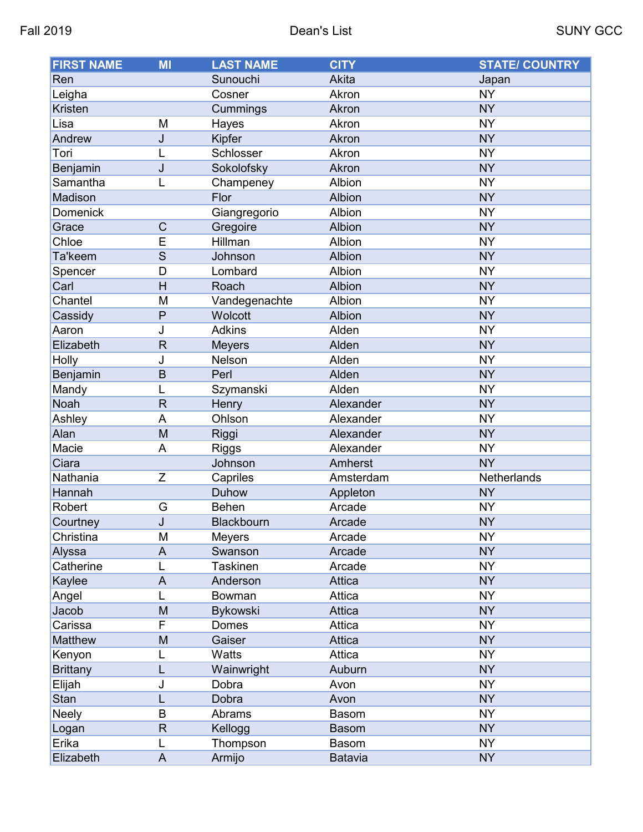| <b>FIRST NAME</b> | MI             | <b>LAST NAME</b> | <b>CITY</b>    | <b>STATE/ COUNTRY</b> |
|-------------------|----------------|------------------|----------------|-----------------------|
| Ren               |                | Sunouchi         | Akita          | Japan                 |
| Leigha            |                | Cosner           | Akron          | <b>NY</b>             |
| Kristen           |                | Cummings         | Akron          | <b>NY</b>             |
| Lisa              | M              | Hayes            | Akron          | <b>NY</b>             |
| Andrew            | J              | Kipfer           | Akron          | <b>NY</b>             |
| Tori              |                | Schlosser        | Akron          | <b>NY</b>             |
| Benjamin          | J              | Sokolofsky       | Akron          | <b>NY</b>             |
| Samantha          | L              | Champeney        | Albion         | <b>NY</b>             |
| Madison           |                | Flor             | Albion         | <b>NY</b>             |
| <b>Domenick</b>   |                | Giangregorio     | Albion         | <b>NY</b>             |
| Grace             | $\mathsf C$    | Gregoire         | Albion         | <b>NY</b>             |
| Chloe             | E              | Hillman          | Albion         | <b>NY</b>             |
| Ta'keem           | S              | Johnson          | Albion         | <b>NY</b>             |
| Spencer           | D              | Lombard          | Albion         | <b>NY</b>             |
| Carl              | $\overline{H}$ | Roach            | Albion         | <b>NY</b>             |
| Chantel           | M              | Vandegenachte    | Albion         | <b>NY</b>             |
| Cassidy           | P              | Wolcott          | Albion         | <b>NY</b>             |
| Aaron             | J              | <b>Adkins</b>    | Alden          | <b>NY</b>             |
| Elizabeth         | $\mathsf{R}$   | <b>Meyers</b>    | Alden          | <b>NY</b>             |
| Holly             | J              | Nelson           | Alden          | <b>NY</b>             |
| Benjamin          | B              | Perl             | Alden          | <b>NY</b>             |
| Mandy             |                | Szymanski        | Alden          | <b>NY</b>             |
| Noah              | $\mathsf{R}$   | Henry            | Alexander      | <b>NY</b>             |
| Ashley            | A              | Ohlson           | Alexander      | <b>NY</b>             |
| Alan              | M              | Riggi            | Alexander      | <b>NY</b>             |
| Macie             | A              | <b>Riggs</b>     | Alexander      | <b>NY</b>             |
| Ciara             |                | Johnson          | Amherst        | <b>NY</b>             |
| Nathania          | Z              | Capriles         | Amsterdam      | Netherlands           |
| Hannah            |                | Duhow            | Appleton       | <b>NY</b>             |
| Robert            | G              | <b>Behen</b>     | Arcade         | <b>NY</b>             |
| Courtney          | J              | Blackbourn       | Arcade         | <b>NY</b>             |
| Christina         | M              | <b>Meyers</b>    | Arcade         | <b>NY</b>             |
| Alyssa            | A              | Swanson          | Arcade         | <b>NY</b>             |
| Catherine         | L              | <b>Taskinen</b>  | Arcade         | <b>NY</b>             |
| Kaylee            | A              | Anderson         | Attica         | <b>NY</b>             |
| Angel             |                | <b>Bowman</b>    | Attica         | <b>NY</b>             |
| Jacob             | M              | <b>Bykowski</b>  | Attica         | <b>NY</b>             |
| Carissa           | F              | Domes            | Attica         | <b>NY</b>             |
| Matthew           | M              | Gaiser           | Attica         | <b>NY</b>             |
| Kenyon            |                | Watts            | Attica         | <b>NY</b>             |
| <b>Brittany</b>   |                | Wainwright       | Auburn         | <b>NY</b>             |
| Elijah            | J              | Dobra            | Avon           | <b>NY</b>             |
| Stan              |                | Dobra            | Avon           | <b>NY</b>             |
| <b>Neely</b>      | B              | Abrams           | <b>Basom</b>   | <b>NY</b>             |
| Logan             | $\mathsf R$    | Kellogg          | <b>Basom</b>   | <b>NY</b>             |
| Erika             | L              | Thompson         | <b>Basom</b>   | <b>NY</b>             |
| Elizabeth         | A              | Armijo           | <b>Batavia</b> | <b>NY</b>             |
|                   |                |                  |                |                       |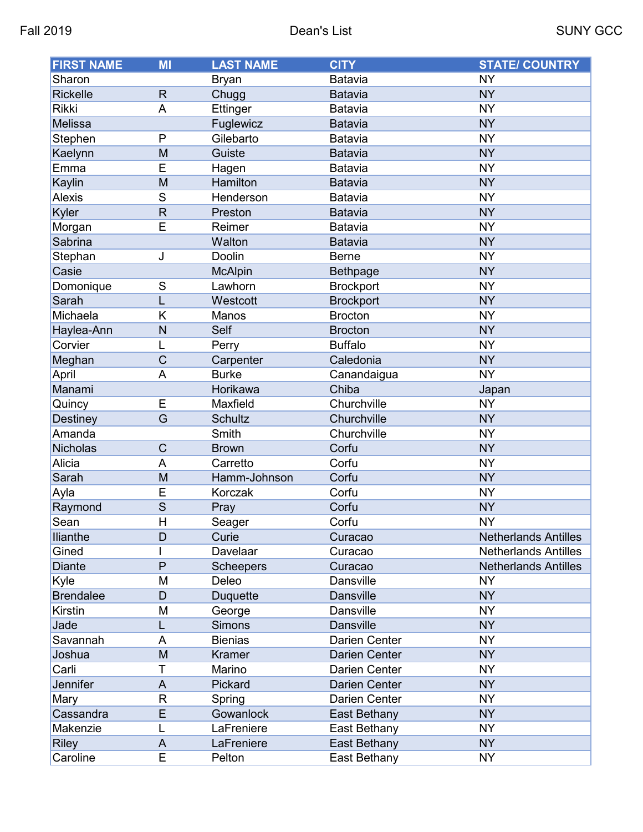| <b>FIRST NAME</b> | MI                      | <b>LAST NAME</b> | <b>CITY</b>          | <b>STATE/ COUNTRY</b>       |
|-------------------|-------------------------|------------------|----------------------|-----------------------------|
| Sharon            |                         | <b>Bryan</b>     | Batavia              | <b>NY</b>                   |
| <b>Rickelle</b>   | $\mathsf{R}$            | Chugg            | <b>Batavia</b>       | <b>NY</b>                   |
| <b>Rikki</b>      | A                       | Ettinger         | Batavia              | <b>NY</b>                   |
| Melissa           |                         | Fuglewicz        | <b>Batavia</b>       | <b>NY</b>                   |
| Stephen           | $\mathsf{P}$            | Gilebarto        | Batavia              | <b>NY</b>                   |
| Kaelynn           | M                       | Guiste           | <b>Batavia</b>       | <b>NY</b>                   |
| Emma              | E                       | Hagen            | Batavia              | <b>NY</b>                   |
| Kaylin            | M                       | Hamilton         | <b>Batavia</b>       | <b>NY</b>                   |
| <b>Alexis</b>     | S                       | Henderson        | Batavia              | <b>NY</b>                   |
| Kyler             | $\mathsf{R}$            | Preston          | <b>Batavia</b>       | <b>NY</b>                   |
| Morgan            | E                       | Reimer           | Batavia              | <b>NY</b>                   |
| Sabrina           |                         | Walton           | <b>Batavia</b>       | <b>NY</b>                   |
| Stephan           | J                       | Doolin           | <b>Berne</b>         | <b>NY</b>                   |
| Casie             |                         | <b>McAlpin</b>   | <b>Bethpage</b>      | <b>NY</b>                   |
| Domonique         | S                       | Lawhorn          | <b>Brockport</b>     | <b>NY</b>                   |
| Sarah             | L                       | Westcott         | <b>Brockport</b>     | <b>NY</b>                   |
| Michaela          | K                       | Manos            | <b>Brocton</b>       | <b>NY</b>                   |
| Haylea-Ann        | N                       | Self             | <b>Brocton</b>       | <b>NY</b>                   |
| Corvier           | L                       | Perry            | <b>Buffalo</b>       | <b>NY</b>                   |
| Meghan            | C                       | Carpenter        | Caledonia            | <b>NY</b>                   |
| April             | A                       | <b>Burke</b>     | Canandaigua          | <b>NY</b>                   |
| Manami            |                         | Horikawa         | Chiba                | Japan                       |
| Quincy            | E                       | Maxfield         | Churchville          | <b>NY</b>                   |
| Destiney          | $\overline{G}$          | <b>Schultz</b>   | Churchville          | <b>NY</b>                   |
| Amanda            |                         | Smith            | Churchville          | <b>NY</b>                   |
| Nicholas          | $\overline{C}$          | <b>Brown</b>     | Corfu                | <b>NY</b>                   |
| Alicia            | A                       | Carretto         | Corfu                | <b>NY</b>                   |
| Sarah             | M                       | Hamm-Johnson     | Corfu                | <b>NY</b>                   |
| Ayla              | E                       | Korczak          | Corfu                | <b>NY</b>                   |
| Raymond           | $\overline{\mathsf{s}}$ | Pray             | Corfu                | <b>NY</b>                   |
| Sean              | H                       | Seager           | Corfu                | <b>NY</b>                   |
| <b>Ilianthe</b>   | D                       | Curie            | Curacao              | <b>Netherlands Antilles</b> |
| Gined             |                         | Davelaar         | Curacao              | <b>Netherlands Antilles</b> |
| <b>Diante</b>     | P                       | <b>Scheepers</b> | Curacao              | <b>Netherlands Antilles</b> |
| Kyle              | M                       | Deleo            | Dansville            | <b>NY</b>                   |
| <b>Brendalee</b>  | D                       | <b>Duquette</b>  | <b>Dansville</b>     | <b>NY</b>                   |
| <b>Kirstin</b>    | М                       | George           | <b>Dansville</b>     | <b>NY</b>                   |
| Jade              | L                       | <b>Simons</b>    | <b>Dansville</b>     | <b>NY</b>                   |
| Savannah          | A                       | <b>Bienias</b>   | <b>Darien Center</b> | <b>NY</b>                   |
| Joshua            | M                       | Kramer           | <b>Darien Center</b> | <b>NY</b>                   |
| Carli             | T                       | Marino           | Darien Center        | <b>NY</b>                   |
| Jennifer          | A                       | Pickard          | Darien Center        | <b>NY</b>                   |
| Mary              | R                       | Spring           | Darien Center        | <b>NY</b>                   |
| Cassandra         | E                       | Gowanlock        | East Bethany         | <b>NY</b>                   |
| Makenzie          | L                       | LaFreniere       | East Bethany         | <b>NY</b>                   |
| <b>Riley</b>      | A                       | LaFreniere       | East Bethany         | <b>NY</b>                   |
| Caroline          | E                       | Pelton           | East Bethany         | <b>NY</b>                   |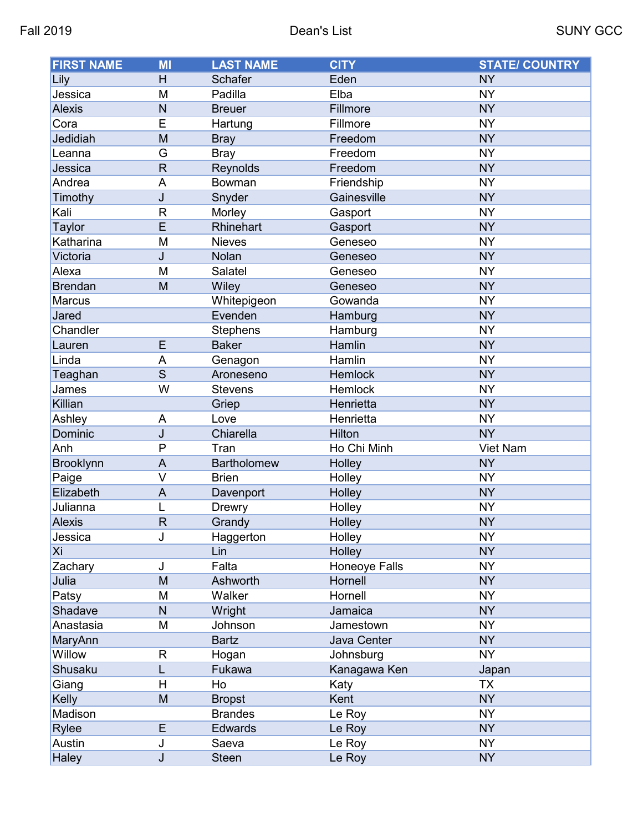| <b>Schafer</b><br>Eden<br>Lily<br>H<br><b>NY</b><br>Jessica<br>Padilla<br>M<br>Elba<br><b>NY</b><br>N<br>Fillmore<br><b>NY</b><br><b>Alexis</b><br><b>Breuer</b><br>E<br>Fillmore<br><b>NY</b><br>Cora<br>Hartung<br>Jedidiah<br>M<br><b>NY</b><br>Freedom<br><b>Bray</b><br>G<br>Freedom<br><b>NY</b><br>Leanna<br><b>Bray</b><br>$\mathsf{R}$<br>Freedom<br><b>NY</b><br>Jessica<br>Reynolds<br>Andrea<br>A<br>Friendship<br><b>NY</b><br>Bowman<br>J<br><b>NY</b><br>Gainesville<br>Timothy<br>Snyder<br>Kali<br><b>NY</b><br>$\mathsf{R}$<br>Morley<br>Gasport<br>E<br>Rhinehart<br><b>NY</b><br><b>Taylor</b><br>Gasport<br><b>NY</b><br>Katharina<br>M<br><b>Nieves</b><br>Geneseo<br>Victoria<br>Nolan<br><b>NY</b><br>J<br>Geneseo<br>Alexa<br>Salatel<br><b>NY</b><br>M<br>Geneseo<br>M<br><b>NY</b><br><b>Brendan</b><br>Wiley<br>Geneseo<br><b>NY</b><br><b>Marcus</b><br>Whitepigeon<br>Gowanda<br>Jared<br><b>NY</b><br>Evenden<br>Hamburg<br><b>NY</b><br>Chandler<br><b>Stephens</b><br>Hamburg<br>E<br><b>Baker</b><br>Hamlin<br><b>NY</b><br>Lauren<br><b>NY</b><br>Linda<br>Hamlin<br>A<br>Genagon<br>$\overline{\mathsf{s}}$<br><b>NY</b><br>Hemlock<br>Teaghan<br>Aroneseno<br>W<br><b>NY</b><br>James<br>Hemlock<br><b>Stevens</b><br><b>NY</b><br>Killian<br>Griep<br>Henrietta<br><b>NY</b><br>Ashley<br>A<br>Love<br>Henrietta<br>Dominic<br>Hilton<br><b>NY</b><br>J<br>Chiarella<br>P<br>Anh<br>Ho Chi Minh<br>Viet Nam<br>Tran<br>A<br><b>NY</b><br><b>Bartholomew</b><br>Holley<br><b>Brooklynn</b><br>V<br><b>NY</b><br>Paige<br><b>Brien</b><br>Holley<br><b>NY</b><br>Elizabeth<br>$\mathsf{A}$<br>Davenport<br>Holley<br>Julianna<br><b>NY</b><br>Holley<br><b>Drewry</b><br>R<br><b>NY</b><br>Grandy<br>Holley<br><b>Alexis</b><br>J<br><b>NY</b><br>Holley<br>Jessica<br>Haggerton<br>Xi<br>Lin<br>Holley<br><b>NY</b><br>Falta<br>Honeoye Falls<br><b>NY</b><br>Zachary<br>J<br>M<br><b>NY</b><br>Julia<br>Ashworth<br>Hornell<br>M<br>Walker<br>Hornell<br><b>NY</b><br>Patsy<br>Shadave<br><b>NY</b><br>N<br>Wright<br>Jamaica<br><b>NY</b><br>Anastasia<br>M<br>Jamestown<br>Johnson<br>Java Center<br><b>NY</b><br>MaryAnn<br><b>Bartz</b><br>Willow<br><b>NY</b><br>Johnsburg<br>R<br>Hogan<br>L<br>Kanagawa Ken<br>Shusaku<br>Fukawa<br>Japan<br>Н<br>Giang<br>Ho<br>TX<br>Katy<br>Kelly<br>M<br>Kent<br><b>NY</b><br><b>Bropst</b><br><b>NY</b><br>Madison<br><b>Brandes</b><br>Le Roy<br>E<br><b>NY</b><br>Rylee<br><b>Edwards</b><br>Le Roy<br>Austin<br><b>NY</b><br>Saeva<br>J<br>Le Roy | <b>FIRST NAME</b> | MI | <b>LAST NAME</b> | <b>CITY</b> | <b>STATE/ COUNTRY</b> |
|----------------------------------------------------------------------------------------------------------------------------------------------------------------------------------------------------------------------------------------------------------------------------------------------------------------------------------------------------------------------------------------------------------------------------------------------------------------------------------------------------------------------------------------------------------------------------------------------------------------------------------------------------------------------------------------------------------------------------------------------------------------------------------------------------------------------------------------------------------------------------------------------------------------------------------------------------------------------------------------------------------------------------------------------------------------------------------------------------------------------------------------------------------------------------------------------------------------------------------------------------------------------------------------------------------------------------------------------------------------------------------------------------------------------------------------------------------------------------------------------------------------------------------------------------------------------------------------------------------------------------------------------------------------------------------------------------------------------------------------------------------------------------------------------------------------------------------------------------------------------------------------------------------------------------------------------------------------------------------------------------------------------------------------------------------------------------------------------------------------------------------------------------------------------------------------------------------------------------------------------------------------------------------------------------------------------------------------------------------------------------------------------------------------------------------------------------------------------------------------------------------------------------------------|-------------------|----|------------------|-------------|-----------------------|
|                                                                                                                                                                                                                                                                                                                                                                                                                                                                                                                                                                                                                                                                                                                                                                                                                                                                                                                                                                                                                                                                                                                                                                                                                                                                                                                                                                                                                                                                                                                                                                                                                                                                                                                                                                                                                                                                                                                                                                                                                                                                                                                                                                                                                                                                                                                                                                                                                                                                                                                                        |                   |    |                  |             |                       |
|                                                                                                                                                                                                                                                                                                                                                                                                                                                                                                                                                                                                                                                                                                                                                                                                                                                                                                                                                                                                                                                                                                                                                                                                                                                                                                                                                                                                                                                                                                                                                                                                                                                                                                                                                                                                                                                                                                                                                                                                                                                                                                                                                                                                                                                                                                                                                                                                                                                                                                                                        |                   |    |                  |             |                       |
|                                                                                                                                                                                                                                                                                                                                                                                                                                                                                                                                                                                                                                                                                                                                                                                                                                                                                                                                                                                                                                                                                                                                                                                                                                                                                                                                                                                                                                                                                                                                                                                                                                                                                                                                                                                                                                                                                                                                                                                                                                                                                                                                                                                                                                                                                                                                                                                                                                                                                                                                        |                   |    |                  |             |                       |
|                                                                                                                                                                                                                                                                                                                                                                                                                                                                                                                                                                                                                                                                                                                                                                                                                                                                                                                                                                                                                                                                                                                                                                                                                                                                                                                                                                                                                                                                                                                                                                                                                                                                                                                                                                                                                                                                                                                                                                                                                                                                                                                                                                                                                                                                                                                                                                                                                                                                                                                                        |                   |    |                  |             |                       |
|                                                                                                                                                                                                                                                                                                                                                                                                                                                                                                                                                                                                                                                                                                                                                                                                                                                                                                                                                                                                                                                                                                                                                                                                                                                                                                                                                                                                                                                                                                                                                                                                                                                                                                                                                                                                                                                                                                                                                                                                                                                                                                                                                                                                                                                                                                                                                                                                                                                                                                                                        |                   |    |                  |             |                       |
|                                                                                                                                                                                                                                                                                                                                                                                                                                                                                                                                                                                                                                                                                                                                                                                                                                                                                                                                                                                                                                                                                                                                                                                                                                                                                                                                                                                                                                                                                                                                                                                                                                                                                                                                                                                                                                                                                                                                                                                                                                                                                                                                                                                                                                                                                                                                                                                                                                                                                                                                        |                   |    |                  |             |                       |
|                                                                                                                                                                                                                                                                                                                                                                                                                                                                                                                                                                                                                                                                                                                                                                                                                                                                                                                                                                                                                                                                                                                                                                                                                                                                                                                                                                                                                                                                                                                                                                                                                                                                                                                                                                                                                                                                                                                                                                                                                                                                                                                                                                                                                                                                                                                                                                                                                                                                                                                                        |                   |    |                  |             |                       |
|                                                                                                                                                                                                                                                                                                                                                                                                                                                                                                                                                                                                                                                                                                                                                                                                                                                                                                                                                                                                                                                                                                                                                                                                                                                                                                                                                                                                                                                                                                                                                                                                                                                                                                                                                                                                                                                                                                                                                                                                                                                                                                                                                                                                                                                                                                                                                                                                                                                                                                                                        |                   |    |                  |             |                       |
|                                                                                                                                                                                                                                                                                                                                                                                                                                                                                                                                                                                                                                                                                                                                                                                                                                                                                                                                                                                                                                                                                                                                                                                                                                                                                                                                                                                                                                                                                                                                                                                                                                                                                                                                                                                                                                                                                                                                                                                                                                                                                                                                                                                                                                                                                                                                                                                                                                                                                                                                        |                   |    |                  |             |                       |
|                                                                                                                                                                                                                                                                                                                                                                                                                                                                                                                                                                                                                                                                                                                                                                                                                                                                                                                                                                                                                                                                                                                                                                                                                                                                                                                                                                                                                                                                                                                                                                                                                                                                                                                                                                                                                                                                                                                                                                                                                                                                                                                                                                                                                                                                                                                                                                                                                                                                                                                                        |                   |    |                  |             |                       |
|                                                                                                                                                                                                                                                                                                                                                                                                                                                                                                                                                                                                                                                                                                                                                                                                                                                                                                                                                                                                                                                                                                                                                                                                                                                                                                                                                                                                                                                                                                                                                                                                                                                                                                                                                                                                                                                                                                                                                                                                                                                                                                                                                                                                                                                                                                                                                                                                                                                                                                                                        |                   |    |                  |             |                       |
|                                                                                                                                                                                                                                                                                                                                                                                                                                                                                                                                                                                                                                                                                                                                                                                                                                                                                                                                                                                                                                                                                                                                                                                                                                                                                                                                                                                                                                                                                                                                                                                                                                                                                                                                                                                                                                                                                                                                                                                                                                                                                                                                                                                                                                                                                                                                                                                                                                                                                                                                        |                   |    |                  |             |                       |
|                                                                                                                                                                                                                                                                                                                                                                                                                                                                                                                                                                                                                                                                                                                                                                                                                                                                                                                                                                                                                                                                                                                                                                                                                                                                                                                                                                                                                                                                                                                                                                                                                                                                                                                                                                                                                                                                                                                                                                                                                                                                                                                                                                                                                                                                                                                                                                                                                                                                                                                                        |                   |    |                  |             |                       |
|                                                                                                                                                                                                                                                                                                                                                                                                                                                                                                                                                                                                                                                                                                                                                                                                                                                                                                                                                                                                                                                                                                                                                                                                                                                                                                                                                                                                                                                                                                                                                                                                                                                                                                                                                                                                                                                                                                                                                                                                                                                                                                                                                                                                                                                                                                                                                                                                                                                                                                                                        |                   |    |                  |             |                       |
|                                                                                                                                                                                                                                                                                                                                                                                                                                                                                                                                                                                                                                                                                                                                                                                                                                                                                                                                                                                                                                                                                                                                                                                                                                                                                                                                                                                                                                                                                                                                                                                                                                                                                                                                                                                                                                                                                                                                                                                                                                                                                                                                                                                                                                                                                                                                                                                                                                                                                                                                        |                   |    |                  |             |                       |
|                                                                                                                                                                                                                                                                                                                                                                                                                                                                                                                                                                                                                                                                                                                                                                                                                                                                                                                                                                                                                                                                                                                                                                                                                                                                                                                                                                                                                                                                                                                                                                                                                                                                                                                                                                                                                                                                                                                                                                                                                                                                                                                                                                                                                                                                                                                                                                                                                                                                                                                                        |                   |    |                  |             |                       |
|                                                                                                                                                                                                                                                                                                                                                                                                                                                                                                                                                                                                                                                                                                                                                                                                                                                                                                                                                                                                                                                                                                                                                                                                                                                                                                                                                                                                                                                                                                                                                                                                                                                                                                                                                                                                                                                                                                                                                                                                                                                                                                                                                                                                                                                                                                                                                                                                                                                                                                                                        |                   |    |                  |             |                       |
|                                                                                                                                                                                                                                                                                                                                                                                                                                                                                                                                                                                                                                                                                                                                                                                                                                                                                                                                                                                                                                                                                                                                                                                                                                                                                                                                                                                                                                                                                                                                                                                                                                                                                                                                                                                                                                                                                                                                                                                                                                                                                                                                                                                                                                                                                                                                                                                                                                                                                                                                        |                   |    |                  |             |                       |
|                                                                                                                                                                                                                                                                                                                                                                                                                                                                                                                                                                                                                                                                                                                                                                                                                                                                                                                                                                                                                                                                                                                                                                                                                                                                                                                                                                                                                                                                                                                                                                                                                                                                                                                                                                                                                                                                                                                                                                                                                                                                                                                                                                                                                                                                                                                                                                                                                                                                                                                                        |                   |    |                  |             |                       |
|                                                                                                                                                                                                                                                                                                                                                                                                                                                                                                                                                                                                                                                                                                                                                                                                                                                                                                                                                                                                                                                                                                                                                                                                                                                                                                                                                                                                                                                                                                                                                                                                                                                                                                                                                                                                                                                                                                                                                                                                                                                                                                                                                                                                                                                                                                                                                                                                                                                                                                                                        |                   |    |                  |             |                       |
|                                                                                                                                                                                                                                                                                                                                                                                                                                                                                                                                                                                                                                                                                                                                                                                                                                                                                                                                                                                                                                                                                                                                                                                                                                                                                                                                                                                                                                                                                                                                                                                                                                                                                                                                                                                                                                                                                                                                                                                                                                                                                                                                                                                                                                                                                                                                                                                                                                                                                                                                        |                   |    |                  |             |                       |
|                                                                                                                                                                                                                                                                                                                                                                                                                                                                                                                                                                                                                                                                                                                                                                                                                                                                                                                                                                                                                                                                                                                                                                                                                                                                                                                                                                                                                                                                                                                                                                                                                                                                                                                                                                                                                                                                                                                                                                                                                                                                                                                                                                                                                                                                                                                                                                                                                                                                                                                                        |                   |    |                  |             |                       |
|                                                                                                                                                                                                                                                                                                                                                                                                                                                                                                                                                                                                                                                                                                                                                                                                                                                                                                                                                                                                                                                                                                                                                                                                                                                                                                                                                                                                                                                                                                                                                                                                                                                                                                                                                                                                                                                                                                                                                                                                                                                                                                                                                                                                                                                                                                                                                                                                                                                                                                                                        |                   |    |                  |             |                       |
|                                                                                                                                                                                                                                                                                                                                                                                                                                                                                                                                                                                                                                                                                                                                                                                                                                                                                                                                                                                                                                                                                                                                                                                                                                                                                                                                                                                                                                                                                                                                                                                                                                                                                                                                                                                                                                                                                                                                                                                                                                                                                                                                                                                                                                                                                                                                                                                                                                                                                                                                        |                   |    |                  |             |                       |
|                                                                                                                                                                                                                                                                                                                                                                                                                                                                                                                                                                                                                                                                                                                                                                                                                                                                                                                                                                                                                                                                                                                                                                                                                                                                                                                                                                                                                                                                                                                                                                                                                                                                                                                                                                                                                                                                                                                                                                                                                                                                                                                                                                                                                                                                                                                                                                                                                                                                                                                                        |                   |    |                  |             |                       |
|                                                                                                                                                                                                                                                                                                                                                                                                                                                                                                                                                                                                                                                                                                                                                                                                                                                                                                                                                                                                                                                                                                                                                                                                                                                                                                                                                                                                                                                                                                                                                                                                                                                                                                                                                                                                                                                                                                                                                                                                                                                                                                                                                                                                                                                                                                                                                                                                                                                                                                                                        |                   |    |                  |             |                       |
|                                                                                                                                                                                                                                                                                                                                                                                                                                                                                                                                                                                                                                                                                                                                                                                                                                                                                                                                                                                                                                                                                                                                                                                                                                                                                                                                                                                                                                                                                                                                                                                                                                                                                                                                                                                                                                                                                                                                                                                                                                                                                                                                                                                                                                                                                                                                                                                                                                                                                                                                        |                   |    |                  |             |                       |
|                                                                                                                                                                                                                                                                                                                                                                                                                                                                                                                                                                                                                                                                                                                                                                                                                                                                                                                                                                                                                                                                                                                                                                                                                                                                                                                                                                                                                                                                                                                                                                                                                                                                                                                                                                                                                                                                                                                                                                                                                                                                                                                                                                                                                                                                                                                                                                                                                                                                                                                                        |                   |    |                  |             |                       |
|                                                                                                                                                                                                                                                                                                                                                                                                                                                                                                                                                                                                                                                                                                                                                                                                                                                                                                                                                                                                                                                                                                                                                                                                                                                                                                                                                                                                                                                                                                                                                                                                                                                                                                                                                                                                                                                                                                                                                                                                                                                                                                                                                                                                                                                                                                                                                                                                                                                                                                                                        |                   |    |                  |             |                       |
|                                                                                                                                                                                                                                                                                                                                                                                                                                                                                                                                                                                                                                                                                                                                                                                                                                                                                                                                                                                                                                                                                                                                                                                                                                                                                                                                                                                                                                                                                                                                                                                                                                                                                                                                                                                                                                                                                                                                                                                                                                                                                                                                                                                                                                                                                                                                                                                                                                                                                                                                        |                   |    |                  |             |                       |
|                                                                                                                                                                                                                                                                                                                                                                                                                                                                                                                                                                                                                                                                                                                                                                                                                                                                                                                                                                                                                                                                                                                                                                                                                                                                                                                                                                                                                                                                                                                                                                                                                                                                                                                                                                                                                                                                                                                                                                                                                                                                                                                                                                                                                                                                                                                                                                                                                                                                                                                                        |                   |    |                  |             |                       |
|                                                                                                                                                                                                                                                                                                                                                                                                                                                                                                                                                                                                                                                                                                                                                                                                                                                                                                                                                                                                                                                                                                                                                                                                                                                                                                                                                                                                                                                                                                                                                                                                                                                                                                                                                                                                                                                                                                                                                                                                                                                                                                                                                                                                                                                                                                                                                                                                                                                                                                                                        |                   |    |                  |             |                       |
|                                                                                                                                                                                                                                                                                                                                                                                                                                                                                                                                                                                                                                                                                                                                                                                                                                                                                                                                                                                                                                                                                                                                                                                                                                                                                                                                                                                                                                                                                                                                                                                                                                                                                                                                                                                                                                                                                                                                                                                                                                                                                                                                                                                                                                                                                                                                                                                                                                                                                                                                        |                   |    |                  |             |                       |
|                                                                                                                                                                                                                                                                                                                                                                                                                                                                                                                                                                                                                                                                                                                                                                                                                                                                                                                                                                                                                                                                                                                                                                                                                                                                                                                                                                                                                                                                                                                                                                                                                                                                                                                                                                                                                                                                                                                                                                                                                                                                                                                                                                                                                                                                                                                                                                                                                                                                                                                                        |                   |    |                  |             |                       |
|                                                                                                                                                                                                                                                                                                                                                                                                                                                                                                                                                                                                                                                                                                                                                                                                                                                                                                                                                                                                                                                                                                                                                                                                                                                                                                                                                                                                                                                                                                                                                                                                                                                                                                                                                                                                                                                                                                                                                                                                                                                                                                                                                                                                                                                                                                                                                                                                                                                                                                                                        |                   |    |                  |             |                       |
|                                                                                                                                                                                                                                                                                                                                                                                                                                                                                                                                                                                                                                                                                                                                                                                                                                                                                                                                                                                                                                                                                                                                                                                                                                                                                                                                                                                                                                                                                                                                                                                                                                                                                                                                                                                                                                                                                                                                                                                                                                                                                                                                                                                                                                                                                                                                                                                                                                                                                                                                        |                   |    |                  |             |                       |
|                                                                                                                                                                                                                                                                                                                                                                                                                                                                                                                                                                                                                                                                                                                                                                                                                                                                                                                                                                                                                                                                                                                                                                                                                                                                                                                                                                                                                                                                                                                                                                                                                                                                                                                                                                                                                                                                                                                                                                                                                                                                                                                                                                                                                                                                                                                                                                                                                                                                                                                                        |                   |    |                  |             |                       |
|                                                                                                                                                                                                                                                                                                                                                                                                                                                                                                                                                                                                                                                                                                                                                                                                                                                                                                                                                                                                                                                                                                                                                                                                                                                                                                                                                                                                                                                                                                                                                                                                                                                                                                                                                                                                                                                                                                                                                                                                                                                                                                                                                                                                                                                                                                                                                                                                                                                                                                                                        |                   |    |                  |             |                       |
|                                                                                                                                                                                                                                                                                                                                                                                                                                                                                                                                                                                                                                                                                                                                                                                                                                                                                                                                                                                                                                                                                                                                                                                                                                                                                                                                                                                                                                                                                                                                                                                                                                                                                                                                                                                                                                                                                                                                                                                                                                                                                                                                                                                                                                                                                                                                                                                                                                                                                                                                        |                   |    |                  |             |                       |
|                                                                                                                                                                                                                                                                                                                                                                                                                                                                                                                                                                                                                                                                                                                                                                                                                                                                                                                                                                                                                                                                                                                                                                                                                                                                                                                                                                                                                                                                                                                                                                                                                                                                                                                                                                                                                                                                                                                                                                                                                                                                                                                                                                                                                                                                                                                                                                                                                                                                                                                                        |                   |    |                  |             |                       |
|                                                                                                                                                                                                                                                                                                                                                                                                                                                                                                                                                                                                                                                                                                                                                                                                                                                                                                                                                                                                                                                                                                                                                                                                                                                                                                                                                                                                                                                                                                                                                                                                                                                                                                                                                                                                                                                                                                                                                                                                                                                                                                                                                                                                                                                                                                                                                                                                                                                                                                                                        |                   |    |                  |             |                       |
|                                                                                                                                                                                                                                                                                                                                                                                                                                                                                                                                                                                                                                                                                                                                                                                                                                                                                                                                                                                                                                                                                                                                                                                                                                                                                                                                                                                                                                                                                                                                                                                                                                                                                                                                                                                                                                                                                                                                                                                                                                                                                                                                                                                                                                                                                                                                                                                                                                                                                                                                        |                   |    |                  |             |                       |
|                                                                                                                                                                                                                                                                                                                                                                                                                                                                                                                                                                                                                                                                                                                                                                                                                                                                                                                                                                                                                                                                                                                                                                                                                                                                                                                                                                                                                                                                                                                                                                                                                                                                                                                                                                                                                                                                                                                                                                                                                                                                                                                                                                                                                                                                                                                                                                                                                                                                                                                                        |                   |    |                  |             |                       |
|                                                                                                                                                                                                                                                                                                                                                                                                                                                                                                                                                                                                                                                                                                                                                                                                                                                                                                                                                                                                                                                                                                                                                                                                                                                                                                                                                                                                                                                                                                                                                                                                                                                                                                                                                                                                                                                                                                                                                                                                                                                                                                                                                                                                                                                                                                                                                                                                                                                                                                                                        |                   |    |                  |             |                       |
|                                                                                                                                                                                                                                                                                                                                                                                                                                                                                                                                                                                                                                                                                                                                                                                                                                                                                                                                                                                                                                                                                                                                                                                                                                                                                                                                                                                                                                                                                                                                                                                                                                                                                                                                                                                                                                                                                                                                                                                                                                                                                                                                                                                                                                                                                                                                                                                                                                                                                                                                        |                   |    |                  |             |                       |
|                                                                                                                                                                                                                                                                                                                                                                                                                                                                                                                                                                                                                                                                                                                                                                                                                                                                                                                                                                                                                                                                                                                                                                                                                                                                                                                                                                                                                                                                                                                                                                                                                                                                                                                                                                                                                                                                                                                                                                                                                                                                                                                                                                                                                                                                                                                                                                                                                                                                                                                                        |                   |    |                  |             |                       |
|                                                                                                                                                                                                                                                                                                                                                                                                                                                                                                                                                                                                                                                                                                                                                                                                                                                                                                                                                                                                                                                                                                                                                                                                                                                                                                                                                                                                                                                                                                                                                                                                                                                                                                                                                                                                                                                                                                                                                                                                                                                                                                                                                                                                                                                                                                                                                                                                                                                                                                                                        | Haley             | J  | <b>Steen</b>     | Le Roy      | <b>NY</b>             |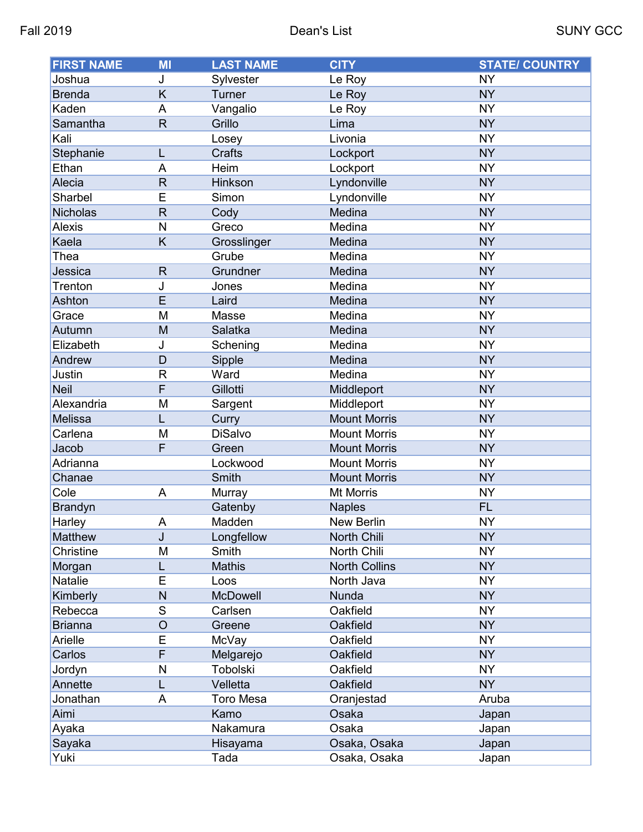| <b>FIRST NAME</b> | <b>MI</b>      | <b>LAST NAME</b> | <b>CITY</b>          | <b>STATE/ COUNTRY</b> |
|-------------------|----------------|------------------|----------------------|-----------------------|
| Joshua            | J              | Sylvester        | Le Roy               | <b>NY</b>             |
| <b>Brenda</b>     | Κ              | Turner           | Le Roy               | <b>NY</b>             |
| Kaden             | A              | Vangalio         | Le Roy               | <b>NY</b>             |
| Samantha          | $\mathsf{R}$   | Grillo           | Lima                 | <b>NY</b>             |
| Kali              |                | Losey            | Livonia              | <b>NY</b>             |
| Stephanie         | L              | <b>Crafts</b>    | Lockport             | <b>NY</b>             |
| Ethan             | A              | Heim             | Lockport             | <b>NY</b>             |
| Alecia            | $\mathsf{R}$   | Hinkson          | Lyndonville          | <b>NY</b>             |
| Sharbel           | E              | Simon            | Lyndonville          | <b>NY</b>             |
| <b>Nicholas</b>   | R              | Cody             | Medina               | <b>NY</b>             |
| <b>Alexis</b>     | $\mathsf{N}$   | Greco            | Medina               | <b>NY</b>             |
| Kaela             | K              | Grosslinger      | Medina               | <b>NY</b>             |
| Thea              |                | Grube            | Medina               | <b>NY</b>             |
| Jessica           | $\mathsf{R}$   | Grundner         | Medina               | <b>NY</b>             |
| Trenton           | J              | Jones            | Medina               | <b>NY</b>             |
| Ashton            | E              | Laird            | Medina               | <b>NY</b>             |
| Grace             | M              | Masse            | Medina               | <b>NY</b>             |
| Autumn            | M              | Salatka          | Medina               | <b>NY</b>             |
| Elizabeth         | J              | Schening         | Medina               | <b>NY</b>             |
| Andrew            | D              | Sipple           | Medina               | <b>NY</b>             |
| Justin            | R              | Ward             | Medina               | <b>NY</b>             |
| <b>Neil</b>       | F              | Gillotti         | Middleport           | <b>NY</b>             |
| Alexandria        | M              | Sargent          | Middleport           | <b>NY</b>             |
| Melissa           | L              | Curry            | <b>Mount Morris</b>  | <b>NY</b>             |
| Carlena           | M              | <b>DiSalvo</b>   | <b>Mount Morris</b>  | <b>NY</b>             |
| Jacob             | F              | Green            | <b>Mount Morris</b>  | <b>NY</b>             |
| Adrianna          |                | Lockwood         | <b>Mount Morris</b>  | <b>NY</b>             |
| Chanae            |                | Smith            | <b>Mount Morris</b>  | <b>NY</b>             |
| Cole              | A              | Murray           | Mt Morris            | <b>NY</b>             |
| <b>Brandyn</b>    |                | Gatenby          | <b>Naples</b>        | <b>FL</b>             |
| <b>Harley</b>     | A              | Madden           | New Berlin           | <b>NY</b>             |
| Matthew           | J              | Longfellow       | North Chili          | <b>NY</b>             |
| Christine         | M              | Smith            | North Chili          | <b>NY</b>             |
| Morgan            | L              | <b>Mathis</b>    | <b>North Collins</b> | <b>NY</b>             |
| Natalie           | E              | Loos             | North Java           | <b>NY</b>             |
| Kimberly          | N              | McDowell         | Nunda                | <b>NY</b>             |
| Rebecca           | S              | Carlsen          | Oakfield             | <b>NY</b>             |
| <b>Brianna</b>    | $\circ$        | Greene           | Oakfield             | <b>NY</b>             |
| Arielle           | E              | McVay            | Oakfield             | <b>NY</b>             |
| Carlos            | $\overline{F}$ | Melgarejo        | Oakfield             | <b>NY</b>             |
| Jordyn            | N              | Tobolski         | Oakfield             | <b>NY</b>             |
| Annette           | L              | Velletta         | Oakfield             | <b>NY</b>             |
| Jonathan          | A              | <b>Toro Mesa</b> | Oranjestad           | Aruba                 |
| Aimi              |                | Kamo             | Osaka                | Japan                 |
| Ayaka             |                | Nakamura         | Osaka                | Japan                 |
| Sayaka            |                | Hisayama         | Osaka, Osaka         | Japan                 |
| Yuki              |                | Tada             | Osaka, Osaka         | Japan                 |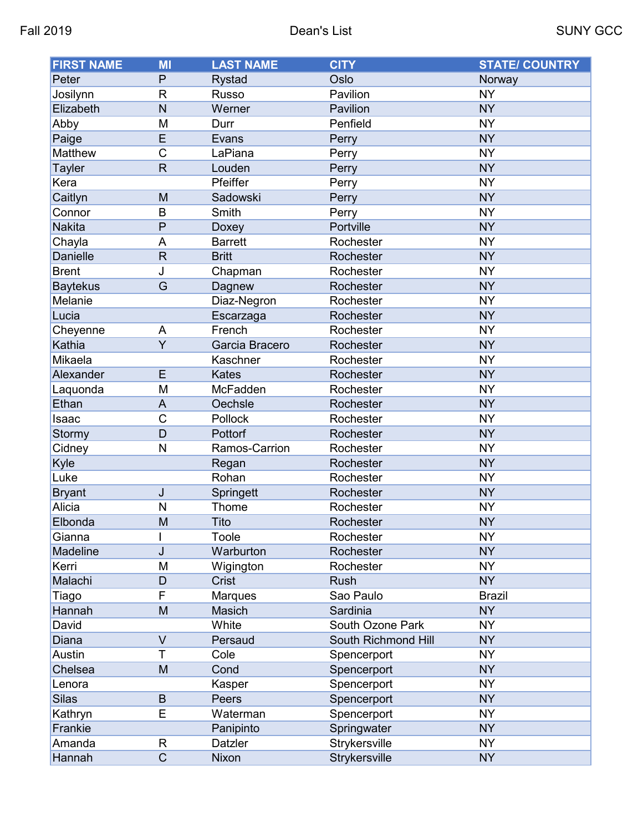| <b>FIRST NAME</b> | MI             | <b>LAST NAME</b> | <b>CITY</b>         | <b>STATE/ COUNTRY</b> |
|-------------------|----------------|------------------|---------------------|-----------------------|
| Peter             | P              | <b>Rystad</b>    | Oslo                | Norway                |
| Josilynn          | $\mathsf{R}$   | <b>Russo</b>     | Pavilion            | <b>NY</b>             |
| Elizabeth         | N              | Werner           | Pavilion            | <b>NY</b>             |
| Abby              | M              | Durr             | Penfield            | <b>NY</b>             |
| Paige             | E              | Evans            | Perry               | <b>NY</b>             |
| Matthew           | $\mathsf C$    | LaPiana          | Perry               | <b>NY</b>             |
| <b>Tayler</b>     | $\mathsf{R}$   | Louden           | Perry               | <b>NY</b>             |
| Kera              |                | Pfeiffer         | Perry               | <b>NY</b>             |
| Caitlyn           | M              | Sadowski         | Perry               | <b>NY</b>             |
| Connor            | B              | Smith            | Perry               | <b>NY</b>             |
| <b>Nakita</b>     | P              | Doxey            | Portville           | <b>NY</b>             |
| Chayla            | A              | <b>Barrett</b>   | Rochester           | <b>NY</b>             |
| Danielle          | R              | <b>Britt</b>     | Rochester           | <b>NY</b>             |
| <b>Brent</b>      | J              | Chapman          | Rochester           | <b>NY</b>             |
| <b>Baytekus</b>   | G              | Dagnew           | Rochester           | <b>NY</b>             |
| Melanie           |                | Diaz-Negron      | Rochester           | <b>NY</b>             |
| Lucia             |                | Escarzaga        | Rochester           | <b>NY</b>             |
| Cheyenne          | A              | French           | Rochester           | <b>NY</b>             |
| Kathia            | $\overline{Y}$ | Garcia Bracero   | Rochester           | <b>NY</b>             |
| Mikaela           |                | Kaschner         | Rochester           | <b>NY</b>             |
| Alexander         | E              | <b>Kates</b>     | Rochester           | <b>NY</b>             |
| Laquonda          | M              | McFadden         | Rochester           | <b>NY</b>             |
| Ethan             | A              | Oechsle          | Rochester           | <b>NY</b>             |
| Isaac             | $\mathsf C$    | Pollock          | Rochester           | <b>NY</b>             |
| Stormy            | D              | Pottorf          | Rochester           | <b>NY</b>             |
| Cidney            | N              | Ramos-Carrion    | Rochester           | <b>NY</b>             |
| Kyle              |                | Regan            | Rochester           | <b>NY</b>             |
| Luke              |                | Rohan            | Rochester           | <b>NY</b>             |
| <b>Bryant</b>     | J              | Springett        | Rochester           | <b>NY</b>             |
| Alicia            | N              | Thome            | Rochester           | <b>NY</b>             |
| Elbonda           | M              | Tito             | Rochester           | <b>NY</b>             |
| Gianna            |                | Toole            | Rochester           | <b>NY</b>             |
| Madeline          | J              | Warburton        | Rochester           | <b>NY</b>             |
| Kerri             | M              | Wigington        | Rochester           | <b>NY</b>             |
| Malachi           | D              | <b>Crist</b>     | Rush                | <b>NY</b>             |
| Tiago             | F              | Marques          | Sao Paulo           | <b>Brazil</b>         |
| Hannah            | M              | Masich           | Sardinia            | <b>NY</b>             |
| David             |                | White            | South Ozone Park    | <b>NY</b>             |
| Diana             | $\vee$         | Persaud          | South Richmond Hill | <b>NY</b>             |
| Austin            | T              | Cole             | Spencerport         | <b>NY</b>             |
| Chelsea           | M              | Cond             | Spencerport         | <b>NY</b>             |
| Lenora            |                | Kasper           | Spencerport         | <b>NY</b>             |
| <b>Silas</b>      | B              | Peers            | Spencerport         | <b>NY</b>             |
| Kathryn           | E              | Waterman         | Spencerport         | <b>NY</b>             |
| Frankie           |                | Panipinto        | Springwater         | <b>NY</b>             |
| Amanda            | R              | Datzler          | Strykersville       | <b>NY</b>             |
| Hannah            | $\overline{C}$ | Nixon            | Strykersville       | <b>NY</b>             |